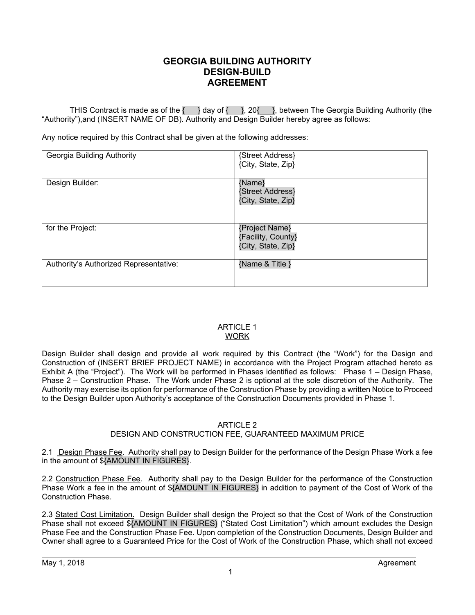## **GEORGIA BUILDING AUTHORITY DESIGN-BUILD AGREEMENT**

THIS Contract is made as of the  $\{\ \}$  day of  $\{\ \}$ , 20 $\{\_\}$ , between The Georgia Building Authority (the "Authority"),and (INSERT NAME OF DB). Authority and Design Builder hereby agree as follows:

Any notice required by this Contract shall be given at the following addresses:

| Georgia Building Authority             | {Street Address}<br>{City, State, Zip}                     |
|----------------------------------------|------------------------------------------------------------|
| Design Builder:                        | {Name}<br>{Street Address}<br>{City, State, Zip}           |
| for the Project:                       | {Project Name}<br>{Facility, County}<br>{City, State, Zip} |
| Authority's Authorized Representative: | {Name & Title }                                            |

## ARTICLE 1 WORK

Design Builder shall design and provide all work required by this Contract (the "Work") for the Design and Construction of (INSERT BRIEF PROJECT NAME) in accordance with the Project Program attached hereto as Exhibit A (the "Project"). The Work will be performed in Phases identified as follows: Phase 1 – Design Phase, Phase 2 – Construction Phase. The Work under Phase 2 is optional at the sole discretion of the Authority. The Authority may exercise its option for performance of the Construction Phase by providing a written Notice to Proceed to the Design Builder upon Authority's acceptance of the Construction Documents provided in Phase 1.

## ARTICLE 2

## DESIGN AND CONSTRUCTION FEE, GUARANTEED MAXIMUM PRICE

2.1 Design Phase Fee. Authority shall pay to Design Builder for the performance of the Design Phase Work a fee in the amount of \${AMOUNT IN FIGURES}.

2.2 Construction Phase Fee. Authority shall pay to the Design Builder for the performance of the Construction Phase Work a fee in the amount of \${AMOUNT IN FIGURES} in addition to payment of the Cost of Work of the Construction Phase.

2.3 Stated Cost Limitation. Design Builder shall design the Project so that the Cost of Work of the Construction Phase shall not exceed \${AMOUNT IN FIGURES} ("Stated Cost Limitation") which amount excludes the Design Phase Fee and the Construction Phase Fee. Upon completion of the Construction Documents, Design Builder and Owner shall agree to a Guaranteed Price for the Cost of Work of the Construction Phase, which shall not exceed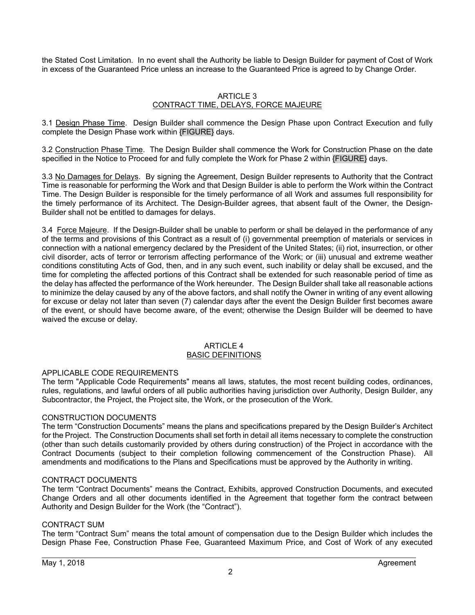the Stated Cost Limitation. In no event shall the Authority be liable to Design Builder for payment of Cost of Work in excess of the Guaranteed Price unless an increase to the Guaranteed Price is agreed to by Change Order.

#### ARTICLE 3 CONTRACT TIME, DELAYS, FORCE MAJEURE

3.1 Design Phase Time. Design Builder shall commence the Design Phase upon Contract Execution and fully complete the Design Phase work within {FIGURE} days.

3.2 Construction Phase Time. The Design Builder shall commence the Work for Construction Phase on the date specified in the Notice to Proceed for and fully complete the Work for Phase 2 within {FIGURE} days.

3.3 No Damages for Delays. By signing the Agreement, Design Builder represents to Authority that the Contract Time is reasonable for performing the Work and that Design Builder is able to perform the Work within the Contract Time. The Design Builder is responsible for the timely performance of all Work and assumes full responsibility for the timely performance of its Architect. The Design-Builder agrees, that absent fault of the Owner, the Design-Builder shall not be entitled to damages for delays.

3.4 Force Majeure. If the Design-Builder shall be unable to perform or shall be delayed in the performance of any of the terms and provisions of this Contract as a result of (i) governmental preemption of materials or services in connection with a national emergency declared by the President of the United States; (ii) riot, insurrection, or other civil disorder, acts of terror or terrorism affecting performance of the Work; or (iii) unusual and extreme weather conditions constituting Acts of God, then, and in any such event, such inability or delay shall be excused, and the time for completing the affected portions of this Contract shall be extended for such reasonable period of time as the delay has affected the performance of the Work hereunder. The Design Builder shall take all reasonable actions to minimize the delay caused by any of the above factors, and shall notify the Owner in writing of any event allowing for excuse or delay not later than seven (7) calendar days after the event the Design Builder first becomes aware of the event, or should have become aware, of the event; otherwise the Design Builder will be deemed to have waived the excuse or delay.

#### ARTICLE 4 BASIC DEFINITIONS

### APPLICABLE CODE REQUIREMENTS

The term "Applicable Code Requirements" means all laws, statutes, the most recent building codes, ordinances, rules, regulations, and lawful orders of all public authorities having jurisdiction over Authority, Design Builder, any Subcontractor, the Project, the Project site, the Work, or the prosecution of the Work.

### CONSTRUCTION DOCUMENTS

The term "Construction Documents" means the plans and specifications prepared by the Design Builder's Architect for the Project. The Construction Documents shall set forth in detail all items necessary to complete the construction (other than such details customarily provided by others during construction) of the Project in accordance with the Contract Documents (subject to their completion following commencement of the Construction Phase). All amendments and modifications to the Plans and Specifications must be approved by the Authority in writing.

#### CONTRACT DOCUMENTS

The term "Contract Documents" means the Contract, Exhibits, approved Construction Documents, and executed Change Orders and all other documents identified in the Agreement that together form the contract between Authority and Design Builder for the Work (the "Contract").

#### CONTRACT SUM

The term "Contract Sum" means the total amount of compensation due to the Design Builder which includes the Design Phase Fee, Construction Phase Fee, Guaranteed Maximum Price, and Cost of Work of any executed

 $\overline{a}$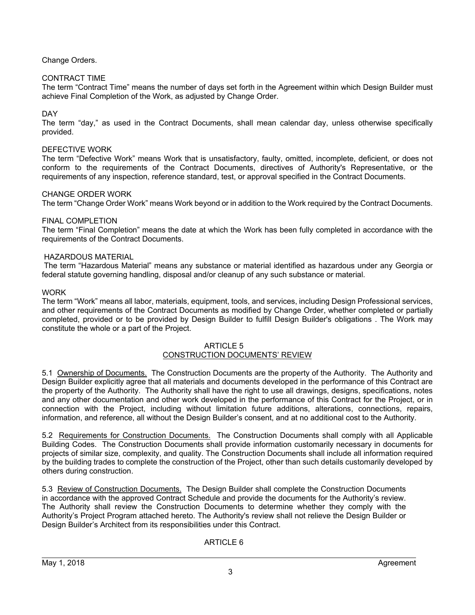## Change Orders.

## CONTRACT TIME

The term "Contract Time" means the number of days set forth in the Agreement within which Design Builder must achieve Final Completion of the Work, as adjusted by Change Order.

## DAY

The term "day," as used in the Contract Documents, shall mean calendar day, unless otherwise specifically provided.

### DEFECTIVE WORK

The term "Defective Work" means Work that is unsatisfactory, faulty, omitted, incomplete, deficient, or does not conform to the requirements of the Contract Documents, directives of Authority's Representative, or the requirements of any inspection, reference standard, test, or approval specified in the Contract Documents.

### CHANGE ORDER WORK

The term "Change Order Work" means Work beyond or in addition to the Work required by the Contract Documents.

#### FINAL COMPLETION

The term "Final Completion" means the date at which the Work has been fully completed in accordance with the requirements of the Contract Documents.

#### HAZARDOUS MATERIAL

 The term "Hazardous Material" means any substance or material identified as hazardous under any Georgia or federal statute governing handling, disposal and/or cleanup of any such substance or material.

#### **WORK**

The term "Work" means all labor, materials, equipment, tools, and services, including Design Professional services, and other requirements of the Contract Documents as modified by Change Order, whether completed or partially completed, provided or to be provided by Design Builder to fulfill Design Builder's obligations . The Work may constitute the whole or a part of the Project.

#### ARTICLE 5 CONSTRUCTION DOCUMENTS' REVIEW

5.1 Ownership of Documents. The Construction Documents are the property of the Authority. The Authority and Design Builder explicitly agree that all materials and documents developed in the performance of this Contract are the property of the Authority. The Authority shall have the right to use all drawings, designs, specifications, notes and any other documentation and other work developed in the performance of this Contract for the Project, or in connection with the Project, including without limitation future additions, alterations, connections, repairs, information, and reference, all without the Design Builder's consent, and at no additional cost to the Authority.

5.2 Requirements for Construction Documents. The Construction Documents shall comply with all Applicable Building Codes. The Construction Documents shall provide information customarily necessary in documents for projects of similar size, complexity, and quality. The Construction Documents shall include all information required by the building trades to complete the construction of the Project, other than such details customarily developed by others during construction.

5.3 Review of Construction Documents. The Design Builder shall complete the Construction Documents in accordance with the approved Contract Schedule and provide the documents for the Authority's review. The Authority shall review the Construction Documents to determine whether they comply with the Authority's Project Program attached hereto. The Authority's review shall not relieve the Design Builder or Design Builder's Architect from its responsibilities under this Contract.

### ARTICLE 6

 $\overline{a}$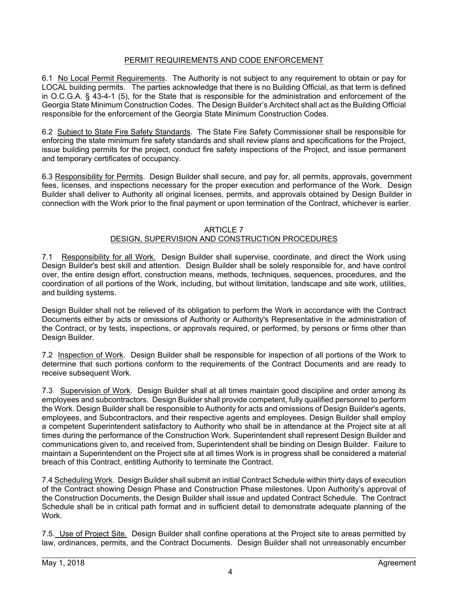## PERMIT REQUIREMENTS AND CODE ENFORCEMENT

6.1 No Local Permit Requirements. The Authority is not subject to any requirement to obtain or pay for LOCAL building permits. The parties acknowledge that there is no Building Official, as that term is defined in O.C.G.A. § 43-4-1 (5), for the State that is responsible for the administration and enforcement of the Georgia State Minimum Construction Codes. The Design Builder's Architect shall act as the Building Official responsible for the enforcement of the Georgia State Minimum Construction Codes.

6.2 Subject to State Fire Safety Standards. The State Fire Safety Commissioner shall be responsible for enforcing the state minimum fire safety standards and shall review plans and specifications for the Project, issue building permits for the project, conduct fire safety inspections of the Project, and issue permanent and temporary certificates of occupancy.

6.3 Responsibility for Permits. Design Builder shall secure, and pay for, all permits, approvals, government fees, licenses, and inspections necessary for the proper execution and performance of the Work. Design Builder shall deliver to Authority all original licenses, permits, and approvals obtained by Design Builder in connection with the Work prior to the final payment or upon termination of the Contract, whichever is earlier.

## ARTICLE 7

## DESIGN, SUPERVISION AND CONSTRUCTION PROCEDURES

7.1 Responsibility for all Work. Design Builder shall supervise, coordinate, and direct the Work using Design Builder's best skill and attention. Design Builder shall be solely responsible for, and have control over, the entire design effort, construction means, methods, techniques, sequences, procedures, and the coordination of all portions of the Work, including, but without limitation, landscape and site work, utilities, and building systems.

Design Builder shall not be relieved of its obligation to perform the Work in accordance with the Contract Documents either by acts or omissions of Authority or Authority's Representative in the administration of the Contract, or by tests, inspections, or approvals required, or performed, by persons or firms other than Design Builder.

7.2 Inspection of Work. Design Builder shall be responsible for inspection of all portions of the Work to determine that such portions conform to the requirements of the Contract Documents and are ready to receive subsequent Work.

7.3 Supervision of Work. Design Builder shall at all times maintain good discipline and order among its employees and subcontractors. Design Builder shall provide competent, fully qualified personnel to perform the Work. Design Builder shall be responsible to Authority for acts and omissions of Design Builder's agents, employees, and Subcontractors, and their respective agents and employees. Design Builder shall employ a competent Superintendent satisfactory to Authority who shall be in attendance at the Project site at all times during the performance of the Construction Work. Superintendent shall represent Design Builder and communications given to, and received from, Superintendent shall be binding on Design Builder. Failure to maintain a Superintendent on the Project site at all times Work is in progress shall be considered a material breach of this Contract, entitling Authority to terminate the Contract.

7.4 Scheduling Work. Design Builder shall submit an initial Contract Schedule within thirty days of execution of the Contract showing Design Phase and Construction Phase milestones. Upon Authority's approval of the Construction Documents, the Design Builder shall issue and updated Contract Schedule. The Contract Schedule shall be in critical path format and in sufficient detail to demonstrate adequate planning of the Work.

7.5. Use of Project Site. Design Builder shall confine operations at the Project site to areas permitted by law, ordinances, permits, and the Contract Documents. Design Builder shall not unreasonably encumber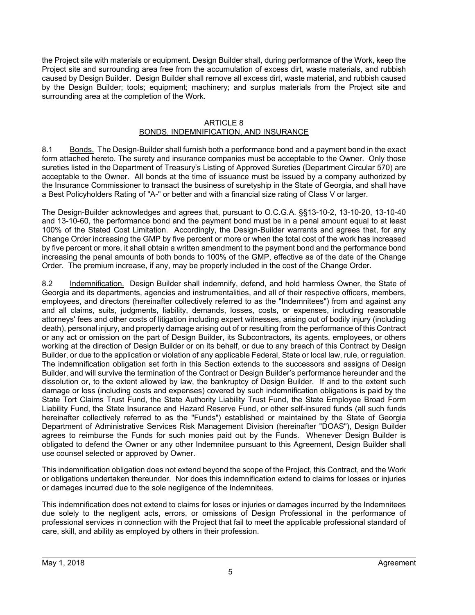the Project site with materials or equipment. Design Builder shall, during performance of the Work, keep the Project site and surrounding area free from the accumulation of excess dirt, waste materials, and rubbish caused by Design Builder. Design Builder shall remove all excess dirt, waste material, and rubbish caused by the Design Builder; tools; equipment; machinery; and surplus materials from the Project site and surrounding area at the completion of the Work.

#### ARTICLE 8 BONDS, INDEMNIFICATION, AND INSURANCE

8.1 Bonds. The Design-Builder shall furnish both a performance bond and a payment bond in the exact form attached hereto. The surety and insurance companies must be acceptable to the Owner. Only those sureties listed in the Department of Treasury's Listing of Approved Sureties (Department Circular 570) are acceptable to the Owner. All bonds at the time of issuance must be issued by a company authorized by the Insurance Commissioner to transact the business of suretyship in the State of Georgia, and shall have a Best Policyholders Rating of "A-" or better and with a financial size rating of Class V or larger.

The Design-Builder acknowledges and agrees that, pursuant to O.C.G.A. §§13-10-2, 13-10-20, 13-10-40 and 13-10-60, the performance bond and the payment bond must be in a penal amount equal to at least 100% of the Stated Cost Limitation. Accordingly, the Design-Builder warrants and agrees that, for any Change Order increasing the GMP by five percent or more or when the total cost of the work has increased by five percent or more, it shall obtain a written amendment to the payment bond and the performance bond increasing the penal amounts of both bonds to 100% of the GMP, effective as of the date of the Change Order. The premium increase, if any, may be properly included in the cost of the Change Order.

8.2 Indemnification. Design Builder shall indemnify, defend, and hold harmless Owner, the State of Georgia and its departments, agencies and instrumentalities, and all of their respective officers, members, employees, and directors (hereinafter collectively referred to as the "Indemnitees") from and against any and all claims, suits, judgments, liability, demands, losses, costs, or expenses, including reasonable attorneys' fees and other costs of litigation including expert witnesses, arising out of bodily injury (including death), personal injury, and property damage arising out of or resulting from the performance of this Contract or any act or omission on the part of Design Builder, its Subcontractors, its agents, employees, or others working at the direction of Design Builder or on its behalf, or due to any breach of this Contract by Design Builder, or due to the application or violation of any applicable Federal, State or local law, rule, or regulation. The indemnification obligation set forth in this Section extends to the successors and assigns of Design Builder, and will survive the termination of the Contract or Design Builder's performance hereunder and the dissolution or, to the extent allowed by law, the bankruptcy of Design Builder. If and to the extent such damage or loss (including costs and expenses) covered by such indemnification obligations is paid by the State Tort Claims Trust Fund, the State Authority Liability Trust Fund, the State Employee Broad Form Liability Fund, the State Insurance and Hazard Reserve Fund, or other self-insured funds (all such funds hereinafter collectively referred to as the "Funds") established or maintained by the State of Georgia Department of Administrative Services Risk Management Division (hereinafter "DOAS"), Design Builder agrees to reimburse the Funds for such monies paid out by the Funds. Whenever Design Builder is obligated to defend the Owner or any other Indemnitee pursuant to this Agreement, Design Builder shall use counsel selected or approved by Owner.

This indemnification obligation does not extend beyond the scope of the Project, this Contract, and the Work or obligations undertaken thereunder. Nor does this indemnification extend to claims for losses or injuries or damages incurred due to the sole negligence of the Indemnitees.

This indemnification does not extend to claims for loses or injuries or damages incurred by the Indemnitees due solely to the negligent acts, errors, or omissions of Design Professional in the performance of professional services in connection with the Project that fail to meet the applicable professional standard of care, skill, and ability as employed by others in their profession.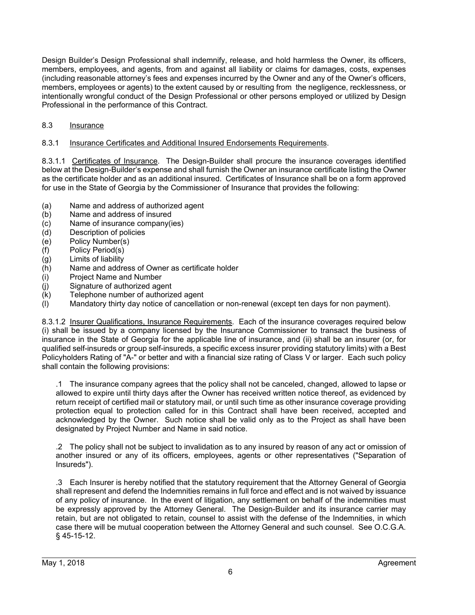Design Builder's Design Professional shall indemnify, release, and hold harmless the Owner, its officers, members, employees, and agents, from and against all liability or claims for damages, costs, expenses (including reasonable attorney's fees and expenses incurred by the Owner and any of the Owner's officers, members, employees or agents) to the extent caused by or resulting from the negligence, recklessness, or intentionally wrongful conduct of the Design Professional or other persons employed or utilized by Design Professional in the performance of this Contract.

## 8.3 Insurance

## 8.3.1 Insurance Certificates and Additional Insured Endorsements Requirements.

8.3.1.1 Certificates of Insurance. The Design-Builder shall procure the insurance coverages identified below at the Design-Builder's expense and shall furnish the Owner an insurance certificate listing the Owner as the certificate holder and as an additional insured. Certificates of Insurance shall be on a form approved for use in the State of Georgia by the Commissioner of Insurance that provides the following:

- (a) Name and address of authorized agent
- (b) Name and address of insured
- (c) Name of insurance company(ies)
- (d) Description of policies
- (e) Policy Number(s)
- (f) Policy Period(s)
- (g) Limits of liability
- (h) Name and address of Owner as certificate holder
- (i) Project Name and Number
- (j) Signature of authorized agent
- (k) Telephone number of authorized agent
- (l) Mandatory thirty day notice of cancellation or non-renewal (except ten days for non payment).

8.3.1.2 Insurer Qualifications, Insurance Requirements. Each of the insurance coverages required below (i) shall be issued by a company licensed by the Insurance Commissioner to transact the business of insurance in the State of Georgia for the applicable line of insurance, and (ii) shall be an insurer (or, for qualified self-insureds or group self-insureds, a specific excess insurer providing statutory limits) with a Best Policyholders Rating of "A-" or better and with a financial size rating of Class V or larger. Each such policy shall contain the following provisions:

.1 The insurance company agrees that the policy shall not be canceled, changed, allowed to lapse or allowed to expire until thirty days after the Owner has received written notice thereof, as evidenced by return receipt of certified mail or statutory mail, or until such time as other insurance coverage providing protection equal to protection called for in this Contract shall have been received, accepted and acknowledged by the Owner. Such notice shall be valid only as to the Project as shall have been designated by Project Number and Name in said notice.

.2 The policy shall not be subject to invalidation as to any insured by reason of any act or omission of another insured or any of its officers, employees, agents or other representatives ("Separation of Insureds").

.3 Each Insurer is hereby notified that the statutory requirement that the Attorney General of Georgia shall represent and defend the Indemnities remains in full force and effect and is not waived by issuance of any policy of insurance. In the event of litigation, any settlement on behalf of the indemnities must be expressly approved by the Attorney General. The Design-Builder and its insurance carrier may retain, but are not obligated to retain, counsel to assist with the defense of the Indemnities, in which case there will be mutual cooperation between the Attorney General and such counsel. See O.C.G.A. § 45-15-12.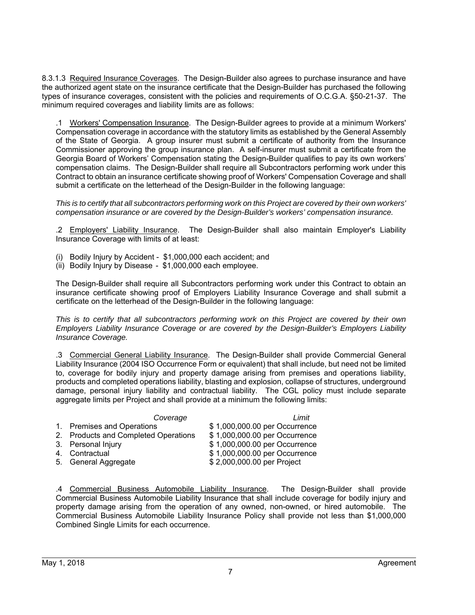8.3.1.3 Required Insurance Coverages. The Design-Builder also agrees to purchase insurance and have the authorized agent state on the insurance certificate that the Design-Builder has purchased the following types of insurance coverages, consistent with the policies and requirements of O.C.G.A. §50-21-37. The minimum required coverages and liability limits are as follows:

.1 Workers' Compensation Insurance. The Design-Builder agrees to provide at a minimum Workers' Compensation coverage in accordance with the statutory limits as established by the General Assembly of the State of Georgia. A group insurer must submit a certificate of authority from the Insurance Commissioner approving the group insurance plan. A self-insurer must submit a certificate from the Georgia Board of Workers' Compensation stating the Design-Builder qualifies to pay its own workers' compensation claims. The Design-Builder shall require all Subcontractors performing work under this Contract to obtain an insurance certificate showing proof of Workers' Compensation Coverage and shall submit a certificate on the letterhead of the Design-Builder in the following language:

*This is to certify that all subcontractors performing work on this Project are covered by their own workers' compensation insurance or are covered by the Design-Builder's workers' compensation insurance.* 

.2 Employers' Liability Insurance. The Design-Builder shall also maintain Employer's Liability Insurance Coverage with limits of at least:

- (i) Bodily Injury by Accident \$1,000,000 each accident; and
- (ii) Bodily Injury by Disease \$1,000,000 each employee.

The Design-Builder shall require all Subcontractors performing work under this Contract to obtain an insurance certificate showing proof of Employers Liability Insurance Coverage and shall submit a certificate on the letterhead of the Design-Builder in the following language:

*This is to certify that all subcontractors performing work on this Project are covered by their own Employers Liability Insurance Coverage or are covered by the Design-Builder's Employers Liability Insurance Coverage.* 

.3 Commercial General Liability Insurance. The Design-Builder shall provide Commercial General Liability Insurance (2004 ISO Occurrence Form or equivalent) that shall include, but need not be limited to, coverage for bodily injury and property damage arising from premises and operations liability, products and completed operations liability, blasting and explosion, collapse of structures, underground damage, personal injury liability and contractual liability. The CGL policy must include separate aggregate limits per Project and shall provide at a minimum the following limits:

| Coverage                             | Limit                         |
|--------------------------------------|-------------------------------|
| 1. Premises and Operations           | \$1,000,000.00 per Occurrence |
| 2. Products and Completed Operations | \$1,000,000.00 per Occurrence |
| 3. Personal Injury                   | \$1,000,000.00 per Occurrence |
| 4. Contractual                       | \$1,000,000.00 per Occurrence |
| 5. General Aggregate                 | \$2,000,000.00 per Project    |

.4 Commercial Business Automobile Liability Insurance. The Design-Builder shall provide Commercial Business Automobile Liability Insurance that shall include coverage for bodily injury and property damage arising from the operation of any owned, non-owned, or hired automobile. The Commercial Business Automobile Liability Insurance Policy shall provide not less than \$1,000,000 Combined Single Limits for each occurrence.

 $\overline{a}$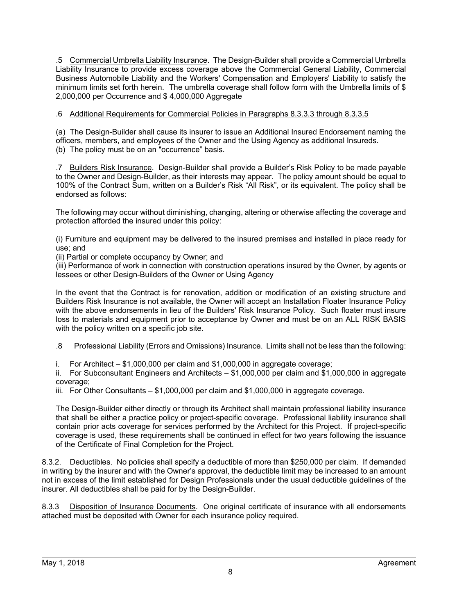.5 Commercial Umbrella Liability Insurance. The Design-Builder shall provide a Commercial Umbrella Liability Insurance to provide excess coverage above the Commercial General Liability, Commercial Business Automobile Liability and the Workers' Compensation and Employers' Liability to satisfy the minimum limits set forth herein. The umbrella coverage shall follow form with the Umbrella limits of \$ 2,000,000 per Occurrence and \$ 4,000,000 Aggregate

## .6 Additional Requirements for Commercial Policies in Paragraphs 8.3.3.3 through 8.3.3.5

(a) The Design-Builder shall cause its insurer to issue an Additional Insured Endorsement naming the officers, members, and employees of the Owner and the Using Agency as additional Insureds. (b) The policy must be on an "occurrence" basis.

.7 Builders Risk Insurance. Design-Builder shall provide a Builder's Risk Policy to be made payable to the Owner and Design-Builder, as their interests may appear. The policy amount should be equal to 100% of the Contract Sum, written on a Builder's Risk "All Risk", or its equivalent. The policy shall be endorsed as follows:

The following may occur without diminishing, changing, altering or otherwise affecting the coverage and protection afforded the insured under this policy:

(i) Furniture and equipment may be delivered to the insured premises and installed in place ready for use; and

(ii) Partial or complete occupancy by Owner; and

(iii) Performance of work in connection with construction operations insured by the Owner, by agents or lessees or other Design-Builders of the Owner or Using Agency

In the event that the Contract is for renovation, addition or modification of an existing structure and Builders Risk Insurance is not available, the Owner will accept an Installation Floater Insurance Policy with the above endorsements in lieu of the Builders' Risk Insurance Policy. Such floater must insure loss to materials and equipment prior to acceptance by Owner and must be on an ALL RISK BASIS with the policy written on a specific job site.

.8 Professional Liability (Errors and Omissions) Insurance. Limits shall not be less than the following:

i. For Architect – \$1,000,000 per claim and \$1,000,000 in aggregate coverage;

ii. For Subconsultant Engineers and Architects – \$1,000,000 per claim and \$1,000,000 in aggregate coverage;

iii. For Other Consultants – \$1,000,000 per claim and \$1,000,000 in aggregate coverage.

The Design-Builder either directly or through its Architect shall maintain professional liability insurance that shall be either a practice policy or project-specific coverage. Professional liability insurance shall contain prior acts coverage for services performed by the Architect for this Project. If project-specific coverage is used, these requirements shall be continued in effect for two years following the issuance of the Certificate of Final Completion for the Project.

8.3.2. Deductibles. No policies shall specify a deductible of more than \$250,000 per claim. If demanded in writing by the insurer and with the Owner's approval, the deductible limit may be increased to an amount not in excess of the limit established for Design Professionals under the usual deductible guidelines of the insurer. All deductibles shall be paid for by the Design-Builder.

8.3.3 Disposition of Insurance Documents. One original certificate of insurance with all endorsements attached must be deposited with Owner for each insurance policy required.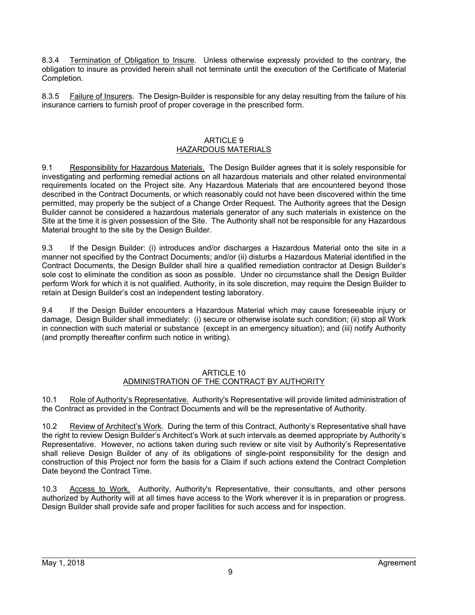8.3.4 Termination of Obligation to Insure. Unless otherwise expressly provided to the contrary, the obligation to insure as provided herein shall not terminate until the execution of the Certificate of Material Completion.

8.3.5 Failure of Insurers. The Design-Builder is responsible for any delay resulting from the failure of his insurance carriers to furnish proof of proper coverage in the prescribed form.

#### ARTICLE 9 HAZARDOUS MATERIALS

9.1 Responsibility for Hazardous Materials. The Design Builder agrees that it is solely responsible for investigating and performing remedial actions on all hazardous materials and other related environmental requirements located on the Project site. Any Hazardous Materials that are encountered beyond those described in the Contract Documents, or which reasonably could not have been discovered within the time permitted, may properly be the subject of a Change Order Request. The Authority agrees that the Design Builder cannot be considered a hazardous materials generator of any such materials in existence on the Site at the time it is given possession of the Site. The Authority shall not be responsible for any Hazardous Material brought to the site by the Design Builder.

9.3 If the Design Builder: (i) introduces and/or discharges a Hazardous Material onto the site in a manner not specified by the Contract Documents; and/or (ii) disturbs a Hazardous Material identified in the Contract Documents, the Design Builder shall hire a qualified remediation contractor at Design Builder's sole cost to eliminate the condition as soon as possible. Under no circumstance shall the Design Builder perform Work for which it is not qualified. Authority, in its sole discretion, may require the Design Builder to retain at Design Builder's cost an independent testing laboratory.

9.4 If the Design Builder encounters a Hazardous Material which may cause foreseeable injury or damage, Design Builder shall immediately: (i) secure or otherwise isolate such condition; (ii) stop all Work in connection with such material or substance (except in an emergency situation); and (iii) notify Authority (and promptly thereafter confirm such notice in writing).

#### ARTICLE 10 ADMINISTRATION OF THE CONTRACT BY AUTHORITY

10.1 Role of Authority's Representative. Authority's Representative will provide limited administration of the Contract as provided in the Contract Documents and will be the representative of Authority.

10.2 Review of Architect's Work. During the term of this Contract, Authority's Representative shall have the right to review Design Builder's Architect's Work at such intervals as deemed appropriate by Authority's Representative. However, no actions taken during such review or site visit by Authority's Representative shall relieve Design Builder of any of its obligations of single-point responsibility for the design and construction of this Project nor form the basis for a Claim if such actions extend the Contract Completion Date beyond the Contract Time.

10.3 Access to Work. Authority, Authority's Representative, their consultants, and other persons authorized by Authority will at all times have access to the Work wherever it is in preparation or progress. Design Builder shall provide safe and proper facilities for such access and for inspection.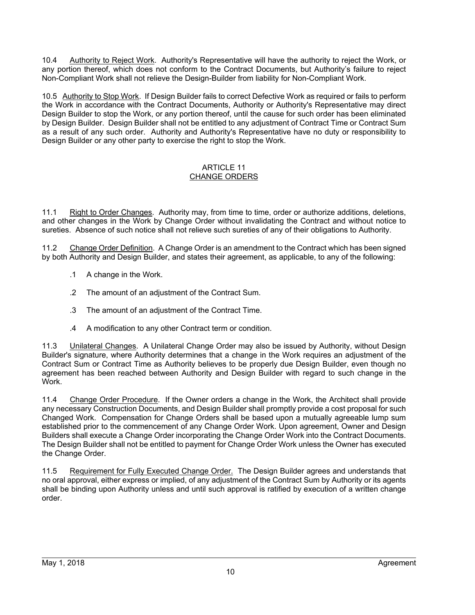10.4 Authority to Reject Work. Authority's Representative will have the authority to reject the Work, or any portion thereof, which does not conform to the Contract Documents, but Authority's failure to reject Non-Compliant Work shall not relieve the Design-Builder from liability for Non-Compliant Work.

10.5 Authority to Stop Work. If Design Builder fails to correct Defective Work as required or fails to perform the Work in accordance with the Contract Documents, Authority or Authority's Representative may direct Design Builder to stop the Work, or any portion thereof, until the cause for such order has been eliminated by Design Builder. Design Builder shall not be entitled to any adjustment of Contract Time or Contract Sum as a result of any such order. Authority and Authority's Representative have no duty or responsibility to Design Builder or any other party to exercise the right to stop the Work.

## ARTICLE 11 CHANGE ORDERS

11.1 Right to Order Changes. Authority may, from time to time, order or authorize additions, deletions, and other changes in the Work by Change Order without invalidating the Contract and without notice to sureties. Absence of such notice shall not relieve such sureties of any of their obligations to Authority.

11.2 Change Order Definition. A Change Order is an amendment to the Contract which has been signed by both Authority and Design Builder, and states their agreement, as applicable, to any of the following:

- .1 A change in the Work.
- .2 The amount of an adjustment of the Contract Sum.
- .3 The amount of an adjustment of the Contract Time.
- .4 A modification to any other Contract term or condition.

11.3 Unilateral Changes. A Unilateral Change Order may also be issued by Authority, without Design Builder's signature, where Authority determines that a change in the Work requires an adjustment of the Contract Sum or Contract Time as Authority believes to be properly due Design Builder, even though no agreement has been reached between Authority and Design Builder with regard to such change in the **Work** 

11.4 Change Order Procedure. If the Owner orders a change in the Work, the Architect shall provide any necessary Construction Documents, and Design Builder shall promptly provide a cost proposal for such Changed Work. Compensation for Change Orders shall be based upon a mutually agreeable lump sum established prior to the commencement of any Change Order Work. Upon agreement, Owner and Design Builders shall execute a Change Order incorporating the Change Order Work into the Contract Documents. The Design Builder shall not be entitled to payment for Change Order Work unless the Owner has executed the Change Order.

11.5 Requirement for Fully Executed Change Order. The Design Builder agrees and understands that no oral approval, either express or implied, of any adjustment of the Contract Sum by Authority or its agents shall be binding upon Authority unless and until such approval is ratified by execution of a written change order.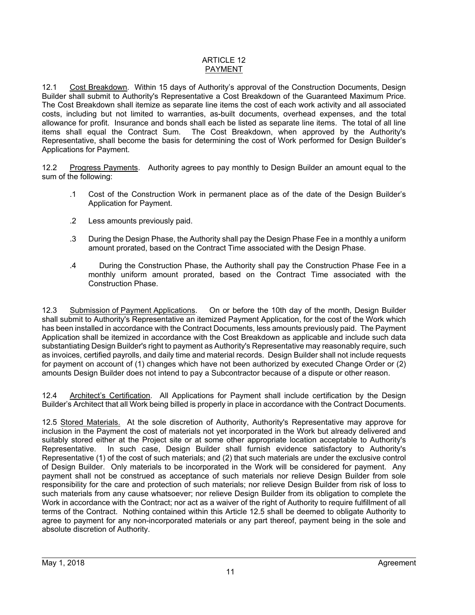## ARTICLE 12 PAYMENT

12.1 Cost Breakdown. Within 15 days of Authority's approval of the Construction Documents, Design Builder shall submit to Authority's Representative a Cost Breakdown of the Guaranteed Maximum Price. The Cost Breakdown shall itemize as separate line items the cost of each work activity and all associated costs, including but not limited to warranties, as-built documents, overhead expenses, and the total allowance for profit. Insurance and bonds shall each be listed as separate line items. The total of all line items shall equal the Contract Sum. The Cost Breakdown, when approved by the Authority's Representative, shall become the basis for determining the cost of Work performed for Design Builder's Applications for Payment.

12.2 Progress Payments. Authority agrees to pay monthly to Design Builder an amount equal to the sum of the following:

- .1 Cost of the Construction Work in permanent place as of the date of the Design Builder's Application for Payment.
- .2 Less amounts previously paid.
- .3 During the Design Phase, the Authority shall pay the Design Phase Fee in a monthly a uniform amount prorated, based on the Contract Time associated with the Design Phase.
- .4 During the Construction Phase, the Authority shall pay the Construction Phase Fee in a monthly uniform amount prorated, based on the Contract Time associated with the Construction Phase.

12.3 Submission of Payment Applications. On or before the 10th day of the month, Design Builder shall submit to Authority's Representative an itemized Payment Application, for the cost of the Work which has been installed in accordance with the Contract Documents, less amounts previously paid. The Payment Application shall be itemized in accordance with the Cost Breakdown as applicable and include such data substantiating Design Builder's right to payment as Authority's Representative may reasonably require, such as invoices, certified payrolls, and daily time and material records. Design Builder shall not include requests for payment on account of (1) changes which have not been authorized by executed Change Order or (2) amounts Design Builder does not intend to pay a Subcontractor because of a dispute or other reason.

12.4 Architect's Certification. All Applications for Payment shall include certification by the Design Builder's Architect that all Work being billed is properly in place in accordance with the Contract Documents.

12.5 Stored Materials. At the sole discretion of Authority, Authority's Representative may approve for inclusion in the Payment the cost of materials not yet incorporated in the Work but already delivered and suitably stored either at the Project site or at some other appropriate location acceptable to Authority's Representative. In such case, Design Builder shall furnish evidence satisfactory to Authority's Representative (1) of the cost of such materials; and (2) that such materials are under the exclusive control of Design Builder. Only materials to be incorporated in the Work will be considered for payment. Any payment shall not be construed as acceptance of such materials nor relieve Design Builder from sole responsibility for the care and protection of such materials; nor relieve Design Builder from risk of loss to such materials from any cause whatsoever; nor relieve Design Builder from its obligation to complete the Work in accordance with the Contract; nor act as a waiver of the right of Authority to require fulfillment of all terms of the Contract. Nothing contained within this Article 12.5 shall be deemed to obligate Authority to agree to payment for any non-incorporated materials or any part thereof, payment being in the sole and absolute discretion of Authority.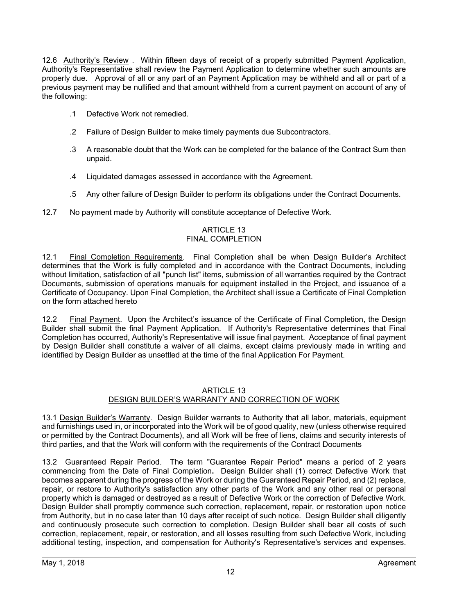12.6 Authority's Review . Within fifteen days of receipt of a properly submitted Payment Application, Authority's Representative shall review the Payment Application to determine whether such amounts are properly due. Approval of all or any part of an Payment Application may be withheld and all or part of a previous payment may be nullified and that amount withheld from a current payment on account of any of the following:

- .1 Defective Work not remedied.
- .2 Failure of Design Builder to make timely payments due Subcontractors.
- .3 A reasonable doubt that the Work can be completed for the balance of the Contract Sum then unpaid.
- .4 Liquidated damages assessed in accordance with the Agreement.
- .5 Any other failure of Design Builder to perform its obligations under the Contract Documents.
- 12.7 No payment made by Authority will constitute acceptance of Defective Work.

## ARTICLE 13 FINAL COMPLETION

12.1 Final Completion Requirements. Final Completion shall be when Design Builder's Architect determines that the Work is fully completed and in accordance with the Contract Documents, including without limitation, satisfaction of all "punch list" items, submission of all warranties required by the Contract Documents, submission of operations manuals for equipment installed in the Project, and issuance of a Certificate of Occupancy. Upon Final Completion, the Architect shall issue a Certificate of Final Completion on the form attached hereto

12.2 Final Payment. Upon the Architect's issuance of the Certificate of Final Completion, the Design Builder shall submit the final Payment Application. If Authority's Representative determines that Final Completion has occurred, Authority's Representative will issue final payment. Acceptance of final payment by Design Builder shall constitute a waiver of all claims, except claims previously made in writing and identified by Design Builder as unsettled at the time of the final Application For Payment.

### ARTICLE 13 DESIGN BUILDER'S WARRANTY AND CORRECTION OF WORK

13.1 Design Builder's Warranty. Design Builder warrants to Authority that all labor, materials, equipment and furnishings used in, or incorporated into the Work will be of good quality, new (unless otherwise required or permitted by the Contract Documents), and all Work will be free of liens, claims and security interests of third parties, and that the Work will conform with the requirements of the Contract Documents

13.2 Guaranteed Repair Period. The term "Guarantee Repair Period" means a period of 2 years commencing from the Date of Final Completion**.** Design Builder shall (1) correct Defective Work that becomes apparent during the progress of the Work or during the Guaranteed Repair Period, and (2) replace, repair, or restore to Authority's satisfaction any other parts of the Work and any other real or personal property which is damaged or destroyed as a result of Defective Work or the correction of Defective Work. Design Builder shall promptly commence such correction, replacement, repair, or restoration upon notice from Authority, but in no case later than 10 days after receipt of such notice. Design Builder shall diligently and continuously prosecute such correction to completion. Design Builder shall bear all costs of such correction, replacement, repair, or restoration, and all losses resulting from such Defective Work, including additional testing, inspection, and compensation for Authority's Representative's services and expenses.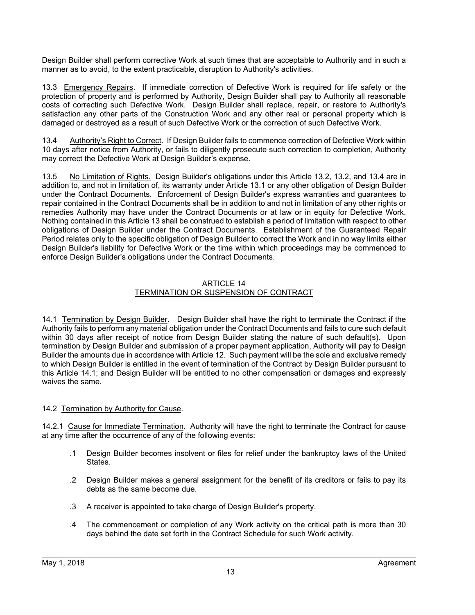Design Builder shall perform corrective Work at such times that are acceptable to Authority and in such a manner as to avoid, to the extent practicable, disruption to Authority's activities.

13.3 Emergency Repairs. If immediate correction of Defective Work is required for life safety or the protection of property and is performed by Authority, Design Builder shall pay to Authority all reasonable costs of correcting such Defective Work. Design Builder shall replace, repair, or restore to Authority's satisfaction any other parts of the Construction Work and any other real or personal property which is damaged or destroyed as a result of such Defective Work or the correction of such Defective Work.

13.4 Authority's Right to Correct. If Design Builder fails to commence correction of Defective Work within 10 days after notice from Authority, or fails to diligently prosecute such correction to completion, Authority may correct the Defective Work at Design Builder's expense.

13.5 No Limitation of Rights. Design Builder's obligations under this Article 13.2, 13.2, and 13.4 are in addition to, and not in limitation of, its warranty under Article 13.1 or any other obligation of Design Builder under the Contract Documents. Enforcement of Design Builder's express warranties and guarantees to repair contained in the Contract Documents shall be in addition to and not in limitation of any other rights or remedies Authority may have under the Contract Documents or at law or in equity for Defective Work. Nothing contained in this Article 13 shall be construed to establish a period of limitation with respect to other obligations of Design Builder under the Contract Documents. Establishment of the Guaranteed Repair Period relates only to the specific obligation of Design Builder to correct the Work and in no way limits either Design Builder's liability for Defective Work or the time within which proceedings may be commenced to enforce Design Builder's obligations under the Contract Documents.

#### ARTICLE 14 TERMINATION OR SUSPENSION OF CONTRACT

14.1 Termination by Design Builder. Design Builder shall have the right to terminate the Contract if the Authority fails to perform any material obligation under the Contract Documents and fails to cure such default within 30 days after receipt of notice from Design Builder stating the nature of such default(s). Upon termination by Design Builder and submission of a proper payment application, Authority will pay to Design Builder the amounts due in accordance with Article 12. Such payment will be the sole and exclusive remedy to which Design Builder is entitled in the event of termination of the Contract by Design Builder pursuant to this Article 14.1; and Design Builder will be entitled to no other compensation or damages and expressly waives the same.

## 14.2 Termination by Authority for Cause.

14.2.1 Cause for Immediate Termination. Authority will have the right to terminate the Contract for cause at any time after the occurrence of any of the following events:

- .1 Design Builder becomes insolvent or files for relief under the bankruptcy laws of the United **States**
- .2 Design Builder makes a general assignment for the benefit of its creditors or fails to pay its debts as the same become due.
- .3 A receiver is appointed to take charge of Design Builder's property.
- .4 The commencement or completion of any Work activity on the critical path is more than 30 days behind the date set forth in the Contract Schedule for such Work activity.

l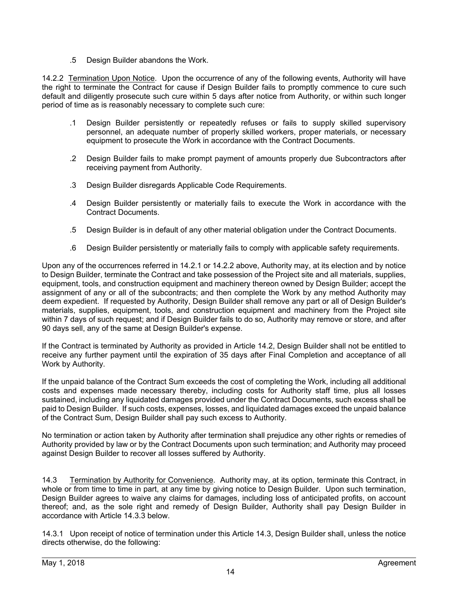.5 Design Builder abandons the Work.

14.2.2 Termination Upon Notice. Upon the occurrence of any of the following events, Authority will have the right to terminate the Contract for cause if Design Builder fails to promptly commence to cure such default and diligently prosecute such cure within 5 days after notice from Authority, or within such longer period of time as is reasonably necessary to complete such cure:

- .1 Design Builder persistently or repeatedly refuses or fails to supply skilled supervisory personnel, an adequate number of properly skilled workers, proper materials, or necessary equipment to prosecute the Work in accordance with the Contract Documents.
- .2 Design Builder fails to make prompt payment of amounts properly due Subcontractors after receiving payment from Authority.
- .3 Design Builder disregards Applicable Code Requirements.
- .4 Design Builder persistently or materially fails to execute the Work in accordance with the Contract Documents.
- .5 Design Builder is in default of any other material obligation under the Contract Documents.
- .6 Design Builder persistently or materially fails to comply with applicable safety requirements.

Upon any of the occurrences referred in 14.2.1 or 14.2.2 above, Authority may, at its election and by notice to Design Builder, terminate the Contract and take possession of the Project site and all materials, supplies, equipment, tools, and construction equipment and machinery thereon owned by Design Builder; accept the assignment of any or all of the subcontracts; and then complete the Work by any method Authority may deem expedient. If requested by Authority, Design Builder shall remove any part or all of Design Builder's materials, supplies, equipment, tools, and construction equipment and machinery from the Project site within 7 days of such request; and if Design Builder fails to do so, Authority may remove or store, and after 90 days sell, any of the same at Design Builder's expense.

If the Contract is terminated by Authority as provided in Article 14.2, Design Builder shall not be entitled to receive any further payment until the expiration of 35 days after Final Completion and acceptance of all Work by Authority.

If the unpaid balance of the Contract Sum exceeds the cost of completing the Work, including all additional costs and expenses made necessary thereby, including costs for Authority staff time, plus all losses sustained, including any liquidated damages provided under the Contract Documents, such excess shall be paid to Design Builder. If such costs, expenses, losses, and liquidated damages exceed the unpaid balance of the Contract Sum, Design Builder shall pay such excess to Authority.

No termination or action taken by Authority after termination shall prejudice any other rights or remedies of Authority provided by law or by the Contract Documents upon such termination; and Authority may proceed against Design Builder to recover all losses suffered by Authority.

14.3 Termination by Authority for Convenience. Authority may, at its option, terminate this Contract, in whole or from time to time in part, at any time by giving notice to Design Builder. Upon such termination, Design Builder agrees to waive any claims for damages, including loss of anticipated profits, on account thereof; and, as the sole right and remedy of Design Builder, Authority shall pay Design Builder in accordance with Article 14.3.3 below.

14.3.1 Upon receipt of notice of termination under this Article 14.3, Design Builder shall, unless the notice directs otherwise, do the following: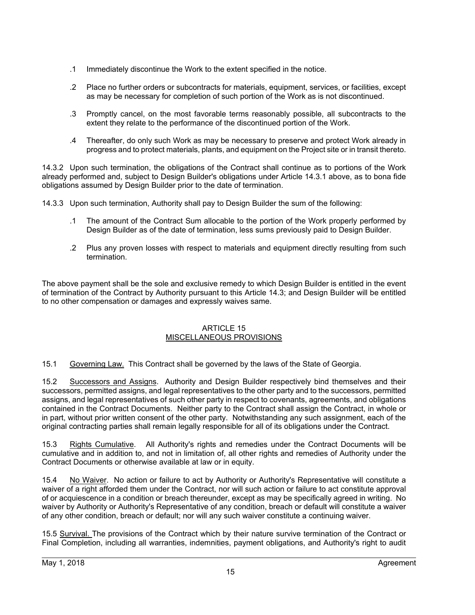- .1 Immediately discontinue the Work to the extent specified in the notice.
- .2 Place no further orders or subcontracts for materials, equipment, services, or facilities, except as may be necessary for completion of such portion of the Work as is not discontinued.
- .3 Promptly cancel, on the most favorable terms reasonably possible, all subcontracts to the extent they relate to the performance of the discontinued portion of the Work.
- .4 Thereafter, do only such Work as may be necessary to preserve and protect Work already in progress and to protect materials, plants, and equipment on the Project site or in transit thereto.

14.3.2 Upon such termination, the obligations of the Contract shall continue as to portions of the Work already performed and, subject to Design Builder's obligations under Article 14.3.1 above, as to bona fide obligations assumed by Design Builder prior to the date of termination.

14.3.3 Upon such termination, Authority shall pay to Design Builder the sum of the following:

- .1 The amount of the Contract Sum allocable to the portion of the Work properly performed by Design Builder as of the date of termination, less sums previously paid to Design Builder.
- .2 Plus any proven losses with respect to materials and equipment directly resulting from such termination.

The above payment shall be the sole and exclusive remedy to which Design Builder is entitled in the event of termination of the Contract by Authority pursuant to this Article 14.3; and Design Builder will be entitled to no other compensation or damages and expressly waives same.

#### ARTICLE 15 MISCELLANEOUS PROVISIONS

15.1 Governing Law.This Contract shall be governed by the laws of the State of Georgia.

15.2 Successors and Assigns. Authority and Design Builder respectively bind themselves and their successors, permitted assigns, and legal representatives to the other party and to the successors, permitted assigns, and legal representatives of such other party in respect to covenants, agreements, and obligations contained in the Contract Documents. Neither party to the Contract shall assign the Contract, in whole or in part, without prior written consent of the other party. Notwithstanding any such assignment, each of the original contracting parties shall remain legally responsible for all of its obligations under the Contract.

15.3 Rights Cumulative.All Authority's rights and remedies under the Contract Documents will be cumulative and in addition to, and not in limitation of, all other rights and remedies of Authority under the Contract Documents or otherwise available at law or in equity.

15.4 No Waiver. No action or failure to act by Authority or Authority's Representative will constitute a waiver of a right afforded them under the Contract, nor will such action or failure to act constitute approval of or acquiescence in a condition or breach thereunder, except as may be specifically agreed in writing. No waiver by Authority or Authority's Representative of any condition, breach or default will constitute a waiver of any other condition, breach or default; nor will any such waiver constitute a continuing waiver.

15.5 Survival. The provisions of the Contract which by their nature survive termination of the Contract or Final Completion, including all warranties, indemnities, payment obligations, and Authority's right to audit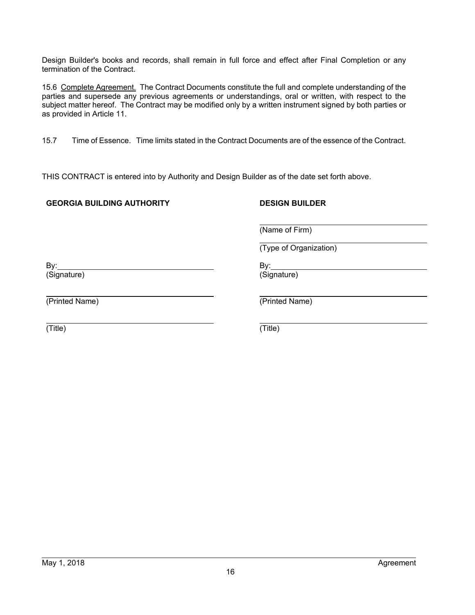Design Builder's books and records, shall remain in full force and effect after Final Completion or any termination of the Contract.

15.6 Complete Agreement. The Contract Documents constitute the full and complete understanding of the parties and supersede any previous agreements or understandings, oral or written, with respect to the subject matter hereof. The Contract may be modified only by a written instrument signed by both parties or as provided in Article 11.

15.7 Time of Essence. Time limits stated in the Contract Documents are of the essence of the Contract.

THIS CONTRACT is entered into by Authority and Design Builder as of the date set forth above.

## **GEORGIA BUILDING AUTHORITY**

## **DESIGN BUILDER**

(Name of Firm)

(Type of Organization)

By: (Signature)

(Printed Name)

(Printed Name)

 (Title)

(Title)

 By: (Signature)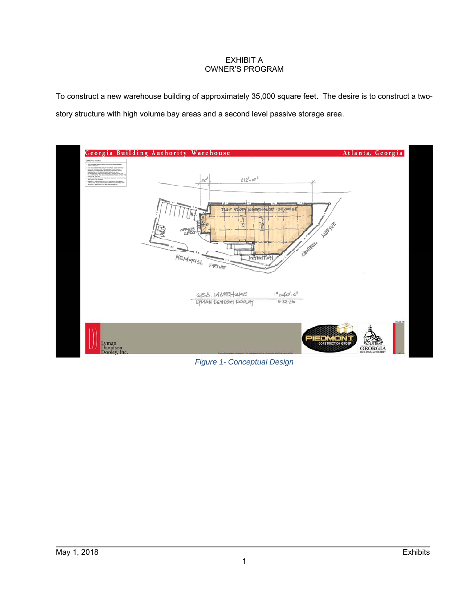## EXHIBIT A OWNER'S PROGRAM

To construct a new warehouse building of approximately 35,000 square feet. The desire is to construct a twostory structure with high volume bay areas and a second level passive storage area.



*Figure 1- Conceptual Design*

 $\overline{a}$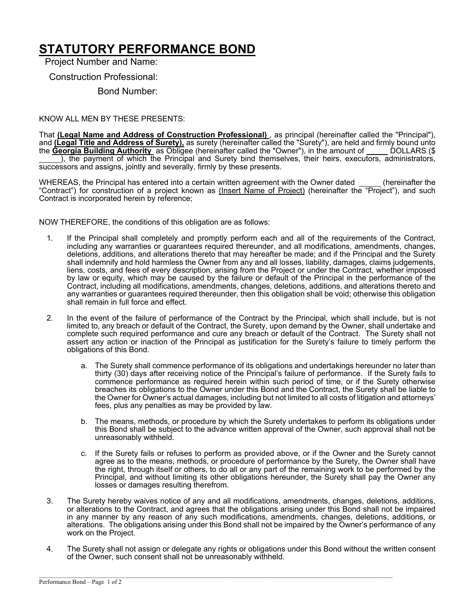# **STATUTORY PERFORMANCE BOND**

Project Number and Name:

Construction Professional:

Bond Number:

#### KNOW ALL MEN BY THESE PRESENTS:

That **(Legal Name and Address of Construction Professional)** , as principal (hereinafter called the "Principal"), and **(Legal Title and Address of Surety),** as surety (hereinafter called the "Surety"), are held and firmly bound unto the **Georgia Building Authority** as Obligee (hereinafter called the "Owner"), in the amount of \_\_\_\_\_ DOLLARS (\$ ), the payment of which the Principal and Surety bind themselves, their heirs, executors, administrators, successors and assigns, jointly and severally, firmly by these presents.

WHEREAS, the Principal has entered into a certain written agreement with the Owner dated (hereinafter the "Contract") for construction of a project known as (Insert Name of Project) (hereinafter the "Project"), and such Contract is incorporated herein by reference;

NOW THEREFORE, the conditions of this obligation are as follows:

- 1. If the Principal shall completely and promptly perform each and all of the requirements of the Contract, including any warranties or guarantees required thereunder, and all modifications, amendments, changes, deletions, additions, and alterations thereto that may hereafter be made; and if the Principal and the Surety shall indemnify and hold harmless the Owner from any and all losses, liability, damages, claims judgements, liens, costs, and fees of every description, arising from the Project or under the Contract, whether imposed by law or equity, which may be caused by the failure or default of the Principal in the performance of the Contract, including all modifications, amendments, changes, deletions, additions, and alterations thereto and any warranties or guarantees required thereunder, then this obligation shall be void; otherwise this obligation shall remain in full force and effect.
- 2. In the event of the failure of performance of the Contract by the Principal, which shall include, but is not limited to, any breach or default of the Contract, the Surety, upon demand by the Owner, shall undertake and complete such required performance and cure any breach or default of the Contract. The Surety shall not assert any action or inaction of the Principal as justification for the Surety's failure to timely perform the obligations of this Bond.
	- a. The Surety shall commence performance of its obligations and undertakings hereunder no later than thirty (30) days after receiving notice of the Principal's failure of performance. If the Surety fails to commence performance as required herein within such period of time, or if the Surety otherwise breaches its obligations to the Owner under this Bond and the Contract, the Surety shall be liable to the Owner for Owner's actual damages, including but not limited to all costs of litigation and attorneys' fees, plus any penalties as may be provided by law.
	- b. The means, methods, or procedure by which the Surety undertakes to perform its obligations under this Bond shall be subject to the advance written approval of the Owner, such approval shall not be unreasonably withheld.
	- c. If the Surety fails or refuses to perform as provided above, or if the Owner and the Surety cannot agree as to the means, methods, or procedure of performance by the Surety, the Owner shall have the right, through itself or others, to do all or any part of the remaining work to be performed by the Principal, and without limiting its other obligations hereunder, the Surety shall pay the Owner any losses or damages resulting therefrom.
- 3. The Surety hereby waives notice of any and all modifications, amendments, changes, deletions, additions, or alterations to the Contract, and agrees that the obligations arising under this Bond shall not be impaired in any manner by any reason of any such modifications, amendments, changes, deletions, additions, or alterations. The obligations arising under this Bond shall not be impaired by the Owner's performance of any work on the Project.
- 4. The Surety shall not assign or delegate any rights or obligations under this Bond without the written consent of the Owner, such consent shall not be unreasonably withheld.

 $\mathcal{L}_\mathcal{L} = \{ \mathcal{L}_\mathcal{L} = \{ \mathcal{L}_\mathcal{L} = \{ \mathcal{L}_\mathcal{L} = \{ \mathcal{L}_\mathcal{L} = \{ \mathcal{L}_\mathcal{L} = \{ \mathcal{L}_\mathcal{L} = \{ \mathcal{L}_\mathcal{L} = \{ \mathcal{L}_\mathcal{L} = \{ \mathcal{L}_\mathcal{L} = \{ \mathcal{L}_\mathcal{L} = \{ \mathcal{L}_\mathcal{L} = \{ \mathcal{L}_\mathcal{L} = \{ \mathcal{L}_\mathcal{L} = \{ \mathcal{L}_\mathcal{$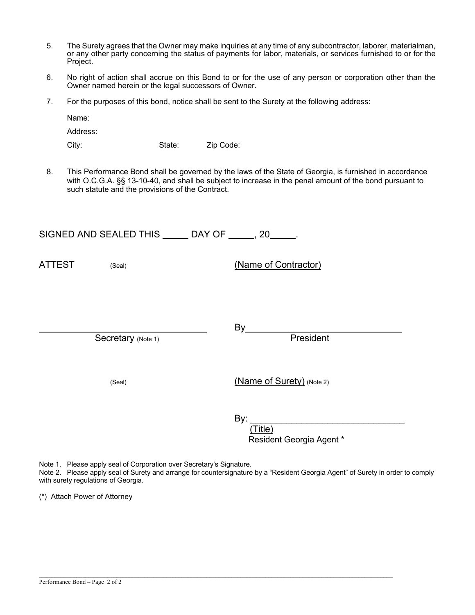- 5. The Surety agrees that the Owner may make inquiries at any time of any subcontractor, laborer, materialman, or any other party concerning the status of payments for labor, materials, or services furnished to or for the Project.
- 6. No right of action shall accrue on this Bond to or for the use of any person or corporation other than the Owner named herein or the legal successors of Owner.
- 7. For the purposes of this bond, notice shall be sent to the Surety at the following address:

Name:

Address:

City: State: Zip Code:

8. This Performance Bond shall be governed by the laws of the State of Georgia, is furnished in accordance with O.C.G.A. §§ 13-10-40, and shall be subject to increase in the penal amount of the bond pursuant to such statute and the provisions of the Contract.

SIGNED AND SEALED THIS \_\_\_\_\_ DAY OF \_\_\_\_\_, 20\_\_\_\_\_.

ATTEST (Seal) (Seal) (Name of Contractor)

Secretary (Note 1) **President** 

<u>By</u> By

(Seal) (Name of Surety) (Note 2)

<u>By: \_\_\_\_\_\_\_\_\_\_\_\_\_\_\_\_\_\_\_\_\_\_\_\_\_\_\_\_\_\_\_\_\_</u>

 (Title) Resident Georgia Agent \*

Note 1. Please apply seal of Corporation over Secretary's Signature.

Note 2. Please apply seal of Surety and arrange for countersignature by a "Resident Georgia Agent" of Surety in order to comply with surety regulations of Georgia.

 $\mathcal{L}_\mathcal{L} = \{ \mathcal{L}_\mathcal{L} = \{ \mathcal{L}_\mathcal{L} = \{ \mathcal{L}_\mathcal{L} = \{ \mathcal{L}_\mathcal{L} = \{ \mathcal{L}_\mathcal{L} = \{ \mathcal{L}_\mathcal{L} = \{ \mathcal{L}_\mathcal{L} = \{ \mathcal{L}_\mathcal{L} = \{ \mathcal{L}_\mathcal{L} = \{ \mathcal{L}_\mathcal{L} = \{ \mathcal{L}_\mathcal{L} = \{ \mathcal{L}_\mathcal{L} = \{ \mathcal{L}_\mathcal{L} = \{ \mathcal{L}_\mathcal{$ 

(\*) Attach Power of Attorney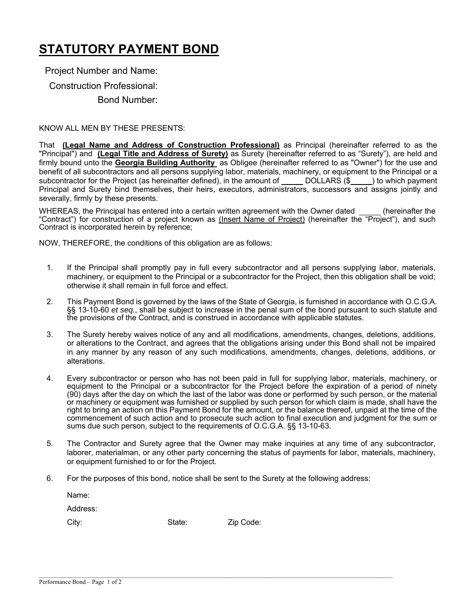# **STATUTORY PAYMENT BOND**

Project Number and Name:

Construction Professional:

Bond Number:

## KNOW ALL MEN BY THESE PRESENTS:

That **(Legal Name and Address of Construction Professional)** as Principal (hereinafter referred to as the "Principal") and **(Legal Title and Address of Surety)** as Surety (hereinafter referred to as "Surety"), are held and firmly bound unto the **Georgia Building Authority** as Obligee (hereinafter referred to as "Owner") for the use and benefit of all subcontractors and all persons supplying labor, materials, machinery, or equipment to the Principal or a subcontractor for the Project (as hereinafter defined), in the amount of DOLLARS (\$) to which payment Principal and Surety bind themselves, their heirs, executors, administrators, successors and assigns jointly and severally, firmly by these presents.

WHEREAS, the Principal has entered into a certain written agreement with the Owner dated (hereinafter the "Contract") for construction of a project known as (Insert Name of Project) (hereinafter the "Project"), and such Contract is incorporated herein by reference;

NOW, THEREFORE, the conditions of this obligation are as follows:

- 1. If the Principal shall promptly pay in full every subcontractor and all persons supplying labor, materials, machinery, or equipment to the Principal or a subcontractor for the Project, then this obligation shall be void; otherwise it shall remain in full force and effect.
- 2. This Payment Bond is governed by the laws of the State of Georgia, is furnished in accordance with O.C.G.A. §§ 13-10-60 *et seq.*, shall be subject to increase in the penal sum of the bond pursuant to such statute and the provisions of the Contract, and is construed in accordance with applicable statutes.
- 3. The Surety hereby waives notice of any and all modifications, amendments, changes, deletions, additions, or alterations to the Contract, and agrees that the obligations arising under this Bond shall not be impaired in any manner by any reason of any such modifications, amendments, changes, deletions, additions, or alterations.
- 4. Every subcontractor or person who has not been paid in full for supplying labor, materials, machinery, or equipment to the Principal or a subcontractor for the Project before the expiration of a period of ninety (90) days after the day on which the last of the labor was done or performed by such person, or the material or machinery or equipment was furnished or supplied by such person for which claim is made, shall have the right to bring an action on this Payment Bond for the amount, or the balance thereof, unpaid at the time of the commencement of such action and to prosecute such action to final execution and judgment for the sum or sums due such person, subject to the requirements of O.C.G.A. §§ 13-10-63.
- 5. The Contractor and Surety agree that the Owner may make inquiries at any time of any subcontractor, laborer, materialman, or any other party concerning the status of payments for labor, materials, machinery, or equipment furnished to or for the Project.
- 6. For the purposes of this bond, notice shall be sent to the Surety at the following address:

 $\mathcal{L}_\mathcal{L} = \mathcal{L}_\mathcal{L} = \mathcal{L}_\mathcal{L} = \mathcal{L}_\mathcal{L} = \mathcal{L}_\mathcal{L} = \mathcal{L}_\mathcal{L} = \mathcal{L}_\mathcal{L} = \mathcal{L}_\mathcal{L} = \mathcal{L}_\mathcal{L} = \mathcal{L}_\mathcal{L} = \mathcal{L}_\mathcal{L} = \mathcal{L}_\mathcal{L} = \mathcal{L}_\mathcal{L} = \mathcal{L}_\mathcal{L} = \mathcal{L}_\mathcal{L} = \mathcal{L}_\mathcal{L} = \mathcal{L}_\mathcal{L}$ 

| Name:    |        |
|----------|--------|
| Address: |        |
| City:    | State: |

Zip Code: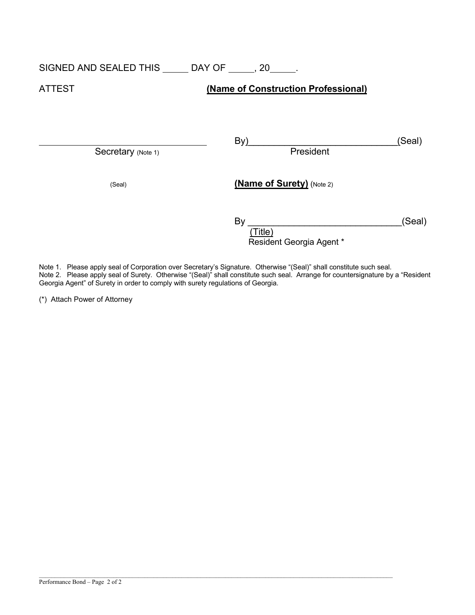## SIGNED AND SEALED THIS \_\_\_\_\_\_ DAY OF \_\_\_\_\_, 20\_\_\_\_\_.

## ATTEST **(Name of Construction Professional)**

Secretary (Note 1)

By)\_\_\_\_\_\_\_\_\_\_\_\_\_\_\_\_\_\_\_\_\_\_\_\_\_\_\_\_\_(Seal)

(Seal) **(Name of Surety)** (Note 2)

| В١                       | (Seal) |
|--------------------------|--------|
| Title)                   |        |
| Resident Georgia Agent * |        |

Note 1. Please apply seal of Corporation over Secretary's Signature. Otherwise "(Seal)" shall constitute such seal.

 $\mathcal{L}_\mathcal{L} = \mathcal{L}_\mathcal{L} = \mathcal{L}_\mathcal{L} = \mathcal{L}_\mathcal{L} = \mathcal{L}_\mathcal{L} = \mathcal{L}_\mathcal{L} = \mathcal{L}_\mathcal{L} = \mathcal{L}_\mathcal{L} = \mathcal{L}_\mathcal{L} = \mathcal{L}_\mathcal{L} = \mathcal{L}_\mathcal{L} = \mathcal{L}_\mathcal{L} = \mathcal{L}_\mathcal{L} = \mathcal{L}_\mathcal{L} = \mathcal{L}_\mathcal{L} = \mathcal{L}_\mathcal{L} = \mathcal{L}_\mathcal{L}$ 

Note 2. Please apply seal of Surety. Otherwise "(Seal)" shall constitute such seal. Arrange for countersignature by a "Resident Georgia Agent" of Surety in order to comply with surety regulations of Georgia.

(\*) Attach Power of Attorney